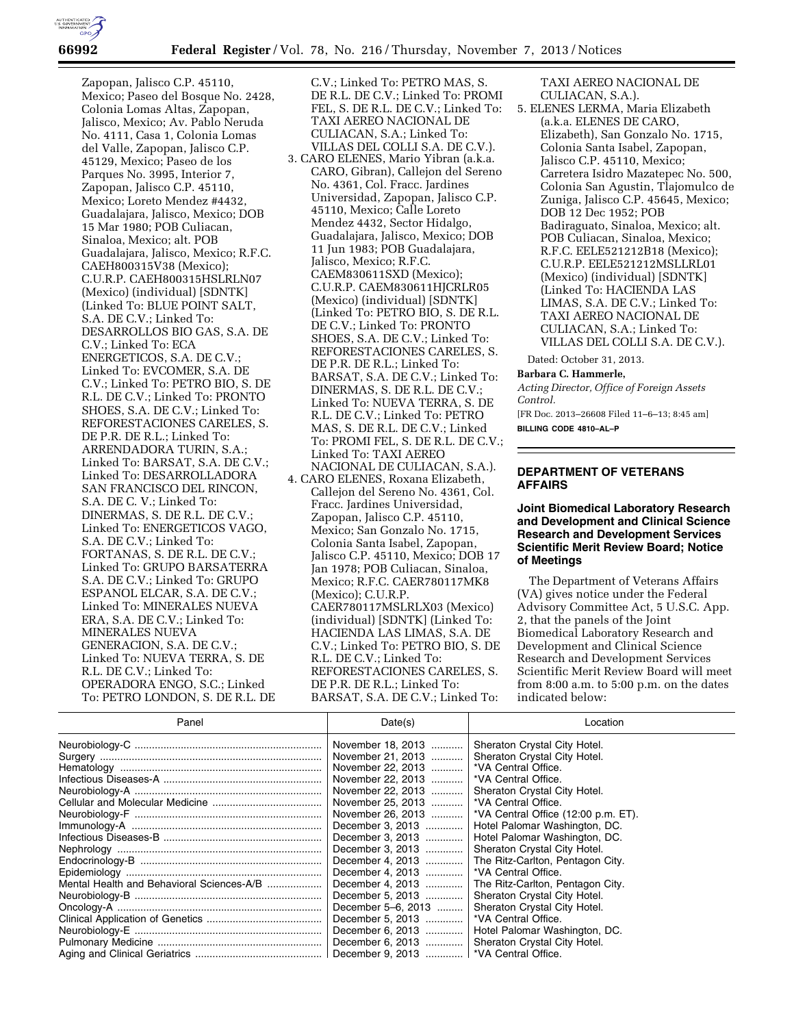

Zapopan, Jalisco C.P. 45110, Mexico; Paseo del Bosque No. 2428, Colonia Lomas Altas, Zapopan, Jalisco, Mexico; Av. Pablo Neruda No. 4111, Casa 1, Colonia Lomas del Valle, Zapopan, Jalisco C.P. 45129, Mexico; Paseo de los Parques No. 3995, Interior 7, Zapopan, Jalisco C.P. 45110, Mexico; Loreto Mendez #4432, Guadalajara, Jalisco, Mexico; DOB 15 Mar 1980; POB Culiacan, Sinaloa, Mexico; alt. POB Guadalajara, Jalisco, Mexico; R.F.C. CAEH800315V38 (Mexico); C.U.R.P. CAEH800315HSLRLN07 (Mexico) (individual) [SDNTK] (Linked To: BLUE POINT SALT, S.A. DE C.V.; Linked To: DESARROLLOS BIO GAS, S.A. DE C.V.; Linked To: ECA ENERGETICOS, S.A. DE C.V.; Linked To: EVCOMER, S.A. DE C.V.; Linked To: PETRO BIO, S. DE R.L. DE C.V.; Linked To: PRONTO SHOES, S.A. DE C.V.; Linked To: REFORESTACIONES CARELES, S. DE P.R. DE R.L.; Linked To: ARRENDADORA TURIN, S.A.; Linked To: BARSAT, S.A. DE C.V.; Linked To: DESARROLLADORA SAN FRANCISCO DEL RINCON, S.A. DE C. V.; Linked To: DINERMAS, S. DE R.L. DE C.V.; Linked To: ENERGETICOS VAGO, S.A. DE C.V.; Linked To: FORTANAS, S. DE R.L. DE C.V.; Linked To: GRUPO BARSATERRA S.A. DE C.V.; Linked To: GRUPO ESPANOL ELCAR, S.A. DE C.V.; Linked To: MINERALES NUEVA ERA, S.A. DE C.V.; Linked To: MINERALES NUEVA GENERACION, S.A. DE C.V.; Linked To: NUEVA TERRA, S. DE R.L. DE C.V.; Linked To: OPERADORA ENGO, S.C.; Linked To: PETRO LONDON, S. DE R.L. DE C.V.; Linked To: PETRO MAS, S. DE R.L. DE C.V.; Linked To: PROMI FEL, S. DE R.L. DE C.V.; Linked To: TAXI AEREO NACIONAL DE CULIACAN, S.A.; Linked To: VILLAS DEL COLLI S.A. DE C.V.).

- 3. CARO ELENES, Mario Yibran (a.k.a. CARO, Gibran), Callejon del Sereno No. 4361, Col. Fracc. Jardines Universidad, Zapopan, Jalisco C.P. 45110, Mexico; Calle Loreto Mendez 4432, Sector Hidalgo, Guadalajara, Jalisco, Mexico; DOB 11 Jun 1983; POB Guadalajara, Jalisco, Mexico; R.F.C. CAEM830611SXD (Mexico); C.U.R.P. CAEM830611HJCRLR05 (Mexico) (individual) [SDNTK] (Linked To: PETRO BIO, S. DE R.L. DE C.V.; Linked To: PRONTO SHOES, S.A. DE C.V.; Linked To: REFORESTACIONES CARELES, S. DE P.R. DE R.L.; Linked To: BARSAT, S.A. DE C.V.; Linked To: DINERMAS, S. DE R.L. DE C.V.; Linked To: NUEVA TERRA, S. DE R.L. DE C.V.; Linked To: PETRO MAS, S. DE R.L. DE C.V.; Linked To: PROMI FEL, S. DE R.L. DE C.V.; Linked To: TAXI AEREO NACIONAL DE CULIACAN, S.A.).
- 4. CARO ELENES, Roxana Elizabeth, Callejon del Sereno No. 4361, Col. Fracc. Jardines Universidad, Zapopan, Jalisco C.P. 45110, Mexico; San Gonzalo No. 1715, Colonia Santa Isabel, Zapopan, Jalisco C.P. 45110, Mexico; DOB 17 Jan 1978; POB Culiacan, Sinaloa, Mexico; R.F.C. CAER780117MK8 (Mexico); C.U.R.P. CAER780117MSLRLX03 (Mexico) (individual) [SDNTK] (Linked To: HACIENDA LAS LIMAS, S.A. DE C.V.; Linked To: PETRO BIO, S. DE R.L. DE C.V.; Linked To: REFORESTACIONES CARELES, S. DE P.R. DE R.L.; Linked To: BARSAT, S.A. DE C.V.; Linked To:

TAXI AEREO NACIONAL DE CULIACAN, S.A.).

5. ELENES LERMA, Maria Elizabeth (a.k.a. ELENES DE CARO, Elizabeth), San Gonzalo No. 1715, Colonia Santa Isabel, Zapopan, Jalisco C.P. 45110, Mexico; Carretera Isidro Mazatepec No. 500, Colonia San Agustin, Tlajomulco de Zuniga, Jalisco C.P. 45645, Mexico; DOB 12 Dec 1952; POB Badiraguato, Sinaloa, Mexico; alt. POB Culiacan, Sinaloa, Mexico; R.F.C. EELE521212B18 (Mexico); C.U.R.P. EELE521212MSLLRL01 (Mexico) (individual) [SDNTK] (Linked To: HACIENDA LAS LIMAS, S.A. DE C.V.; Linked To: TAXI AEREO NACIONAL DE CULIACAN, S.A.; Linked To: VILLAS DEL COLLI S.A. DE C.V.).

Dated: October 31, 2013.

## **Barbara C. Hammerle,**

*Acting Director, Office of Foreign Assets Control.* 

[FR Doc. 2013–26608 Filed 11–6–13; 8:45 am] **BILLING CODE 4810–AL–P** 

## **DEPARTMENT OF VETERANS AFFAIRS**

## **Joint Biomedical Laboratory Research and Development and Clinical Science Research and Development Services Scientific Merit Review Board; Notice of Meetings**

The Department of Veterans Affairs (VA) gives notice under the Federal Advisory Committee Act, 5 U.S.C. App. 2, that the panels of the Joint Biomedical Laboratory Research and Development and Clinical Science Research and Development Services Scientific Merit Review Board will meet from 8:00 a.m. to 5:00 p.m. on the dates indicated below:

| Panel                                     | Date(s)                                 | Location                                                 |
|-------------------------------------------|-----------------------------------------|----------------------------------------------------------|
|                                           | November 18, 2013                       | Sheraton Crystal City Hotel.                             |
|                                           | November 21, 2013                       | Sheraton Crystal City Hotel.                             |
|                                           | November 22, 2013                       | *VA Central Office.                                      |
|                                           | November 22, 2013                       | *VA Central Office.                                      |
|                                           | November 22, 2013                       | Sheraton Crystal City Hotel.                             |
|                                           | November 25, 2013  * VA Central Office. |                                                          |
|                                           |                                         | November 26, 2013    *VA Central Office (12:00 p.m. ET). |
|                                           | December 3, 2013                        | Hotel Palomar Washington, DC.                            |
|                                           | December 3, 2013                        | Hotel Palomar Washington, DC.                            |
|                                           | December 3, 2013                        | Sheraton Crystal City Hotel.                             |
|                                           | December 4, 2013                        | The Ritz-Carlton, Pentagon City.                         |
|                                           | December 4, 2013                        | *VA Central Office.                                      |
| Mental Health and Behavioral Sciences-A/B | December 4, 2013                        | The Ritz-Carlton, Pentagon City.                         |
|                                           | December 5, 2013                        | Sheraton Crystal City Hotel.                             |
|                                           | December 5–6, 2013                      | Sheraton Crystal City Hotel.                             |
|                                           | December 5, 2013                        | *VA Central Office.                                      |
|                                           | December 6, 2013                        | Hotel Palomar Washington, DC.                            |
|                                           |                                         | Sheraton Crystal City Hotel.                             |
|                                           |                                         |                                                          |